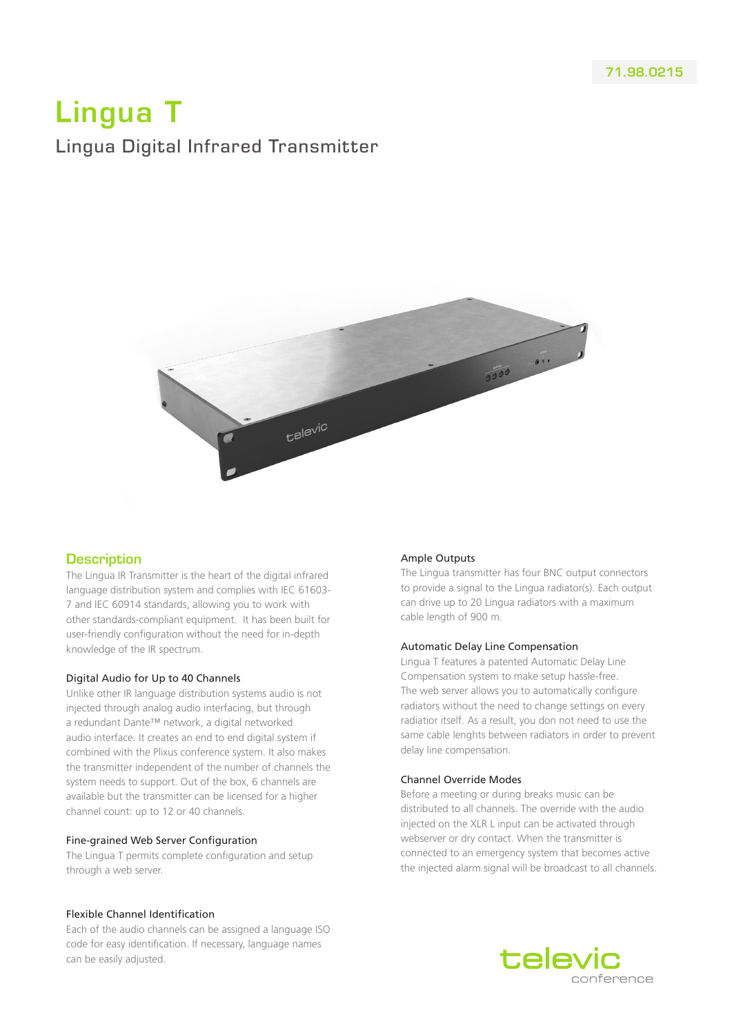# Lingua T Lingua Digital Infrared Transmitter



# **Description**

The Lingua IR Transmitter is the heart of the digital infrared language distribution system and complies with IEC 61603- 7 and IEC 60914 standards, allowing you to work with other standards-compliant equipment. It has been built for user-friendly configuration without the need for in-depth knowledge of the IR spectrum.

## Digital Audio for Up to 40 Channels

Unlike other IR language distribution systems audio is not injected through analog audio interfacing, but through a redundant Dante™ network, a digital networked audio interface. It creates an end to end digital system if combined with the Plixus conference system. It also makes the transmitter independent of the number of channels the system needs to support. Out of the box, 6 channels are available but the transmitter can be licensed for a higher channel count: up to 12 or 40 channels.

## Fine-grained Web Server Configuration

The Lingua T permits complete configuration and setup through a web server.

## Flexible Channel Identification

Each of the audio channels can be assigned a language ISO code for easy identification. If necessary, language names can be easily adjusted.

## Ample Outputs

The Lingua transmitter has four BNC output connectors to provide a signal to the Lingua radiator(s). Each output can drive up to 20 Lingua radiators with a maximum cable length of 900 m.

## Automatic Delay Line Compensation

Lingua T features a patented Automatic Delay Line Compensation system to make setup hassle-free. The web server allows you to automatically configure radiators without the need to change settings on every radiatior itself. As a result, you don not need to use the same cable lenghts between radiators in order to prevent delay line compensation.

## Channel Override Modes

Before a meeting or during breaks music can be distributed to all channels. The override with the audio injected on the XLR L input can be activated through webserver or dry contact. When the transmitter is connected to an emergency system that becomes active the injected alarm signal will be broadcast to all channels.